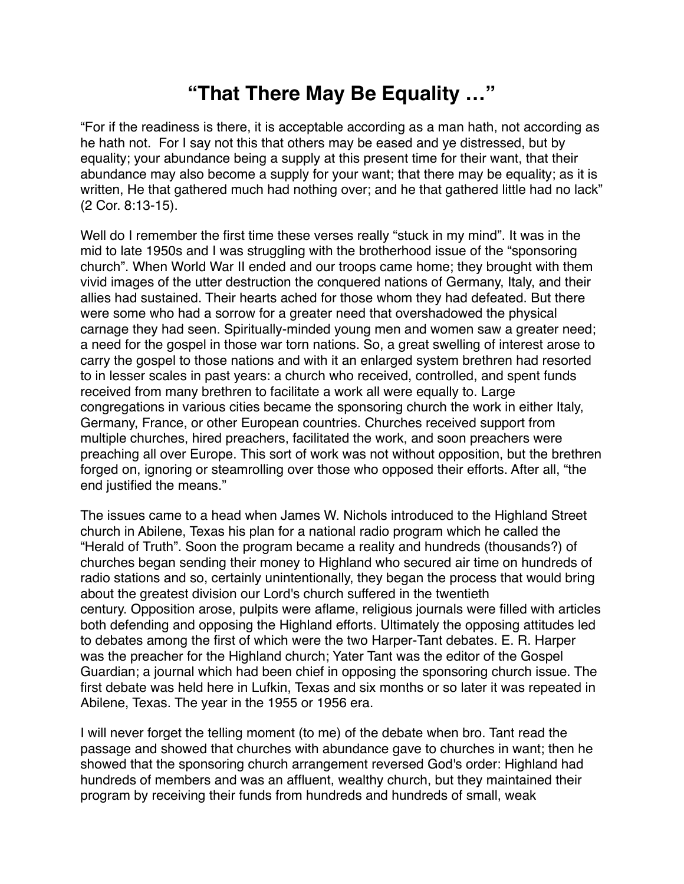## **"That There May Be Equality …"**

"For if the readiness is there, it is acceptable according as a man hath, not according as he hath not. For I say not this that others may be eased and ye distressed, but by equality; your abundance being a supply at this present time for their want, that their abundance may also become a supply for your want; that there may be equality; as it is written, He that gathered much had nothing over; and he that gathered little had no lack" (2 Cor. 8:13-15).

Well do I remember the first time these verses really "stuck in my mind". It was in the mid to late 1950s and I was struggling with the brotherhood issue of the "sponsoring church". When World War II ended and our troops came home; they brought with them vivid images of the utter destruction the conquered nations of Germany, Italy, and their allies had sustained. Their hearts ached for those whom they had defeated. But there were some who had a sorrow for a greater need that overshadowed the physical carnage they had seen. Spiritually-minded young men and women saw a greater need; a need for the gospel in those war torn nations. So, a great swelling of interest arose to carry the gospel to those nations and with it an enlarged system brethren had resorted to in lesser scales in past years: a church who received, controlled, and spent funds received from many brethren to facilitate a work all were equally to. Large congregations in various cities became the sponsoring church the work in either Italy, Germany, France, or other European countries. Churches received support from multiple churches, hired preachers, facilitated the work, and soon preachers were preaching all over Europe. This sort of work was not without opposition, but the brethren forged on, ignoring or steamrolling over those who opposed their efforts. After all, "the end justified the means."

The issues came to a head when James W. Nichols introduced to the Highland Street church in Abilene, Texas his plan for a national radio program which he called the "Herald of Truth". Soon the program became a reality and hundreds (thousands?) of churches began sending their money to Highland who secured air time on hundreds of radio stations and so, certainly unintentionally, they began the process that would bring about the greatest division our Lord's church suffered in the twentieth century. Opposition arose, pulpits were aflame, religious journals were filled with articles both defending and opposing the Highland efforts. Ultimately the opposing attitudes led to debates among the first of which were the two Harper-Tant debates. E. R. Harper was the preacher for the Highland church; Yater Tant was the editor of the Gospel Guardian; a journal which had been chief in opposing the sponsoring church issue. The first debate was held here in Lufkin, Texas and six months or so later it was repeated in Abilene, Texas. The year in the 1955 or 1956 era.

I will never forget the telling moment (to me) of the debate when bro. Tant read the passage and showed that churches with abundance gave to churches in want; then he showed that the sponsoring church arrangement reversed God's order: Highland had hundreds of members and was an affluent, wealthy church, but they maintained their program by receiving their funds from hundreds and hundreds of small, weak